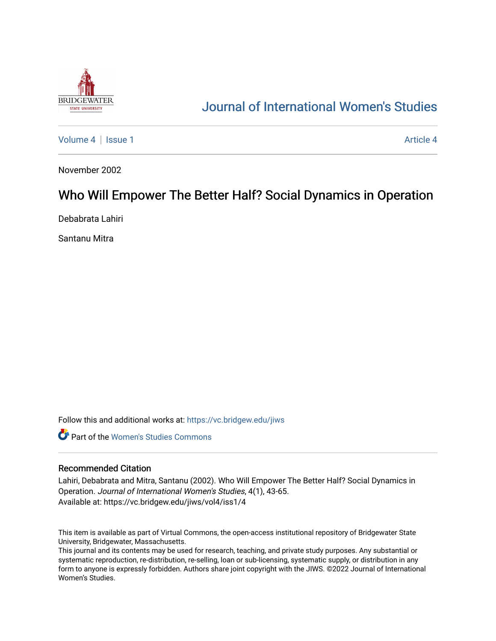

# [Journal of International Women's Studies](https://vc.bridgew.edu/jiws)

[Volume 4](https://vc.bridgew.edu/jiws/vol4) | [Issue 1](https://vc.bridgew.edu/jiws/vol4/iss1) [Article 4](https://vc.bridgew.edu/jiws/vol4/iss1/4) Article 4

November 2002

# Who Will Empower The Better Half? Social Dynamics in Operation

Debabrata Lahiri

Santanu Mitra

Follow this and additional works at: [https://vc.bridgew.edu/jiws](https://vc.bridgew.edu/jiws?utm_source=vc.bridgew.edu%2Fjiws%2Fvol4%2Fiss1%2F4&utm_medium=PDF&utm_campaign=PDFCoverPages)

**C** Part of the Women's Studies Commons

#### Recommended Citation

Lahiri, Debabrata and Mitra, Santanu (2002). Who Will Empower The Better Half? Social Dynamics in Operation. Journal of International Women's Studies, 4(1), 43-65. Available at: https://vc.bridgew.edu/jiws/vol4/iss1/4

This item is available as part of Virtual Commons, the open-access institutional repository of Bridgewater State University, Bridgewater, Massachusetts.

This journal and its contents may be used for research, teaching, and private study purposes. Any substantial or systematic reproduction, re-distribution, re-selling, loan or sub-licensing, systematic supply, or distribution in any form to anyone is expressly forbidden. Authors share joint copyright with the JIWS. ©2022 Journal of International Women's Studies.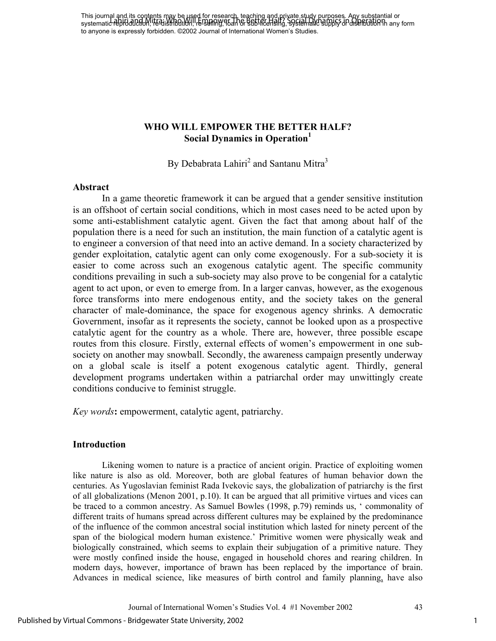This journal and its contents may be used for research, teaching and private study purposes. Any substantial or This journal and more completed in the Distribution, research to distribution, successive, and Mitra Constanting or to anyone is expressly forbidden. ©2002 Journal of International Women's Studies.

### **WHO WILL EMPOWER THE BETTER HALF? Social Dynamics in Operation1**

By Debabrata Lahiri<sup>2</sup> and Santanu Mitra<sup>3</sup>

#### **Abstract**

In a game theoretic framework it can be argued that a gender sensitive institution is an offshoot of certain social conditions, which in most cases need to be acted upon by some anti-establishment catalytic agent. Given the fact that among about half of the population there is a need for such an institution, the main function of a catalytic agent is to engineer a conversion of that need into an active demand. In a society characterized by gender exploitation, catalytic agent can only come exogenously. For a sub-society it is easier to come across such an exogenous catalytic agent. The specific community conditions prevailing in such a sub-society may also prove to be congenial for a catalytic agent to act upon, or even to emerge from. In a larger canvas, however, as the exogenous force transforms into mere endogenous entity, and the society takes on the general character of male-dominance, the space for exogenous agency shrinks. A democratic Government, insofar as it represents the society, cannot be looked upon as a prospective catalytic agent for the country as a whole. There are, however, three possible escape routes from this closure. Firstly, external effects of women's empowerment in one subsociety on another may snowball. Secondly, the awareness campaign presently underway on a global scale is itself a potent exogenous catalytic agent. Thirdly, general development programs undertaken within a patriarchal order may unwittingly create conditions conducive to feminist struggle.

*Key words***:** empowerment, catalytic agent, patriarchy.

#### **Introduction**

Likening women to nature is a practice of ancient origin. Practice of exploiting women like nature is also as old. Moreover, both are global features of human behavior down the centuries. As Yugoslavian feminist Rada Ivekovic says, the globalization of patriarchy is the first of all globalizations (Menon 2001, p.10). It can be argued that all primitive virtues and vices can be traced to a common ancestry. As Samuel Bowles (1998, p.79) reminds us, ' commonality of different traits of humans spread across different cultures may be explained by the predominance of the influence of the common ancestral social institution which lasted for ninety percent of the span of the biological modern human existence.' Primitive women were physically weak and biologically constrained, which seems to explain their subjugation of a primitive nature. They were mostly confined inside the house, engaged in household chores and rearing children. In modern days, however, importance of brawn has been replaced by the importance of brain. Advances in medical science, like measures of birth control and family planning, have also

Journal of International Women's Studies Vol. 4 #1 November 2002 43

1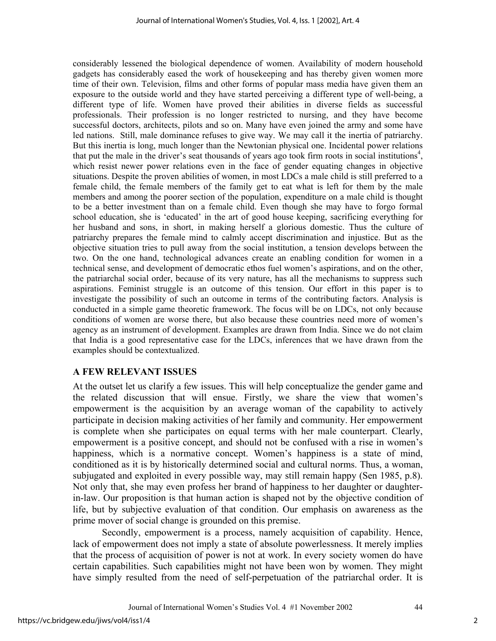considerably lessened the biological dependence of women. Availability of modern household gadgets has considerably eased the work of housekeeping and has thereby given women more time of their own. Television, films and other forms of popular mass media have given them an exposure to the outside world and they have started perceiving a different type of well-being, a different type of life. Women have proved their abilities in diverse fields as successful professionals. Their profession is no longer restricted to nursing, and they have become successful doctors, architects, pilots and so on. Many have even joined the army and some have led nations. Still, male dominance refuses to give way. We may call it the inertia of patriarchy. But this inertia is long, much longer than the Newtonian physical one. Incidental power relations that put the male in the driver's seat thousands of years ago took firm roots in social institutions<sup>4</sup>, which resist newer power relations even in the face of gender equating changes in objective situations. Despite the proven abilities of women, in most LDCs a male child is still preferred to a female child, the female members of the family get to eat what is left for them by the male members and among the poorer section of the population, expenditure on a male child is thought to be a better investment than on a female child. Even though she may have to forgo formal school education, she is 'educated' in the art of good house keeping, sacrificing everything for her husband and sons, in short, in making herself a glorious domestic. Thus the culture of patriarchy prepares the female mind to calmly accept discrimination and injustice. But as the objective situation tries to pull away from the social institution, a tension develops between the two. On the one hand, technological advances create an enabling condition for women in a technical sense, and development of democratic ethos fuel women's aspirations, and on the other, the patriarchal social order, because of its very nature, has all the mechanisms to suppress such aspirations. Feminist struggle is an outcome of this tension. Our effort in this paper is to investigate the possibility of such an outcome in terms of the contributing factors. Analysis is conducted in a simple game theoretic framework. The focus will be on LDCs, not only because conditions of women are worse there, but also because these countries need more of women's agency as an instrument of development. Examples are drawn from India. Since we do not claim that India is a good representative case for the LDCs, inferences that we have drawn from the examples should be contextualized.

## **A FEW RELEVANT ISSUES**

At the outset let us clarify a few issues. This will help conceptualize the gender game and the related discussion that will ensue. Firstly, we share the view that women's empowerment is the acquisition by an average woman of the capability to actively participate in decision making activities of her family and community. Her empowerment is complete when she participates on equal terms with her male counterpart. Clearly, empowerment is a positive concept, and should not be confused with a rise in women's happiness, which is a normative concept. Women's happiness is a state of mind, conditioned as it is by historically determined social and cultural norms. Thus, a woman, subjugated and exploited in every possible way, may still remain happy (Sen 1985, p.8). Not only that, she may even profess her brand of happiness to her daughter or daughterin-law. Our proposition is that human action is shaped not by the objective condition of life, but by subjective evaluation of that condition. Our emphasis on awareness as the prime mover of social change is grounded on this premise.

Secondly, empowerment is a process, namely acquisition of capability. Hence, lack of empowerment does not imply a state of absolute powerlessness. It merely implies that the process of acquisition of power is not at work. In every society women do have certain capabilities. Such capabilities might not have been won by women. They might have simply resulted from the need of self-perpetuation of the patriarchal order. It is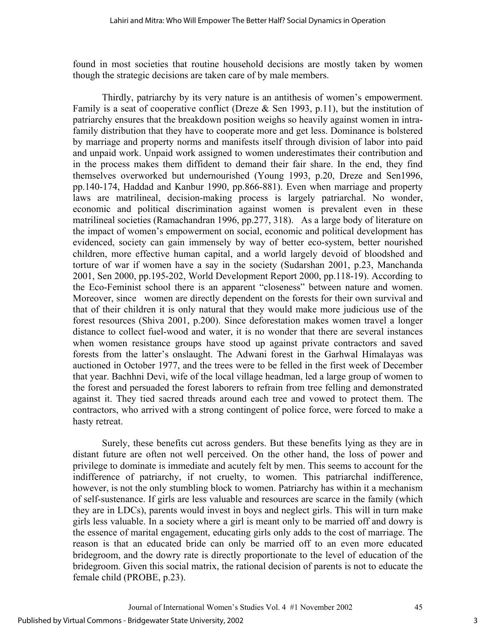found in most societies that routine household decisions are mostly taken by women though the strategic decisions are taken care of by male members.

Thirdly, patriarchy by its very nature is an antithesis of women's empowerment. Family is a seat of cooperative conflict (Dreze  $&$  Sen 1993, p.11), but the institution of patriarchy ensures that the breakdown position weighs so heavily against women in intrafamily distribution that they have to cooperate more and get less. Dominance is bolstered by marriage and property norms and manifests itself through division of labor into paid and unpaid work. Unpaid work assigned to women underestimates their contribution and in the process makes them diffident to demand their fair share. In the end, they find themselves overworked but undernourished (Young 1993, p.20, Dreze and Sen1996, pp.140-174, Haddad and Kanbur 1990, pp.866-881). Even when marriage and property laws are matrilineal, decision-making process is largely patriarchal. No wonder, economic and political discrimination against women is prevalent even in these matrilineal societies (Ramachandran 1996, pp.277, 318). As a large body of literature on the impact of women's empowerment on social, economic and political development has evidenced, society can gain immensely by way of better eco-system, better nourished children, more effective human capital, and a world largely devoid of bloodshed and torture of war if women have a say in the society (Sudarshan 2001, p.23, Manchanda 2001, Sen 2000, pp.195-202, World Development Report 2000, pp.118-19). According to the Eco-Feminist school there is an apparent "closeness" between nature and women. Moreover, since women are directly dependent on the forests for their own survival and that of their children it is only natural that they would make more judicious use of the forest resources (Shiva 2001, p.200). Since deforestation makes women travel a longer distance to collect fuel-wood and water, it is no wonder that there are several instances when women resistance groups have stood up against private contractors and saved forests from the latter's onslaught. The Adwani forest in the Garhwal Himalayas was auctioned in October 1977, and the trees were to be felled in the first week of December that year. Bachhni Devi, wife of the local village headman, led a large group of women to the forest and persuaded the forest laborers to refrain from tree felling and demonstrated against it. They tied sacred threads around each tree and vowed to protect them. The contractors, who arrived with a strong contingent of police force, were forced to make a hasty retreat.

Surely, these benefits cut across genders. But these benefits lying as they are in distant future are often not well perceived. On the other hand, the loss of power and privilege to dominate is immediate and acutely felt by men. This seems to account for the indifference of patriarchy, if not cruelty, to women. This patriarchal indifference, however, is not the only stumbling block to women. Patriarchy has within it a mechanism of self-sustenance. If girls are less valuable and resources are scarce in the family (which they are in LDCs), parents would invest in boys and neglect girls. This will in turn make girls less valuable. In a society where a girl is meant only to be married off and dowry is the essence of marital engagement, educating girls only adds to the cost of marriage. The reason is that an educated bride can only be married off to an even more educated bridegroom, and the dowry rate is directly proportionate to the level of education of the bridegroom. Given this social matrix, the rational decision of parents is not to educate the female child (PROBE, p.23).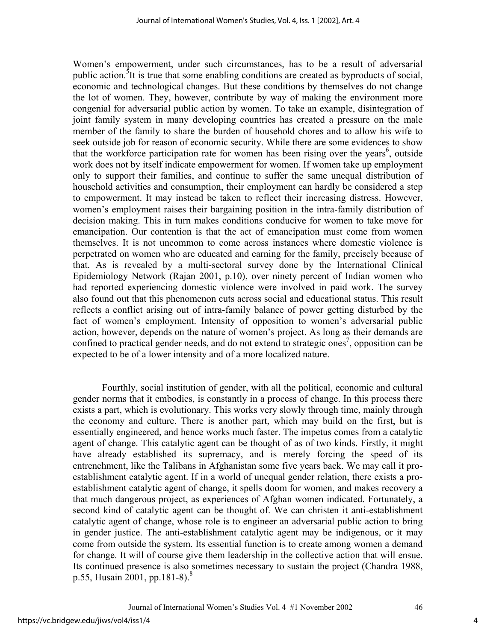Women's empowerment, under such circumstances, has to be a result of adversarial public action.<sup>5</sup>It is true that some enabling conditions are created as byproducts of social, economic and technological changes. But these conditions by themselves do not change the lot of women. They, however, contribute by way of making the environment more congenial for adversarial public action by women. To take an example, disintegration of joint family system in many developing countries has created a pressure on the male member of the family to share the burden of household chores and to allow his wife to seek outside job for reason of economic security. While there are some evidences to show that the workforce participation rate for women has been rising over the years<sup>6</sup>, outside work does not by itself indicate empowerment for women. If women take up employment only to support their families, and continue to suffer the same unequal distribution of household activities and consumption, their employment can hardly be considered a step to empowerment. It may instead be taken to reflect their increasing distress. However, women's employment raises their bargaining position in the intra-family distribution of decision making. This in turn makes conditions conducive for women to take move for emancipation. Our contention is that the act of emancipation must come from women themselves. It is not uncommon to come across instances where domestic violence is perpetrated on women who are educated and earning for the family, precisely because of that. As is revealed by a multi-sectoral survey done by the International Clinical Epidemiology Network (Rajan 2001, p.10), over ninety percent of Indian women who had reported experiencing domestic violence were involved in paid work. The survey also found out that this phenomenon cuts across social and educational status. This result reflects a conflict arising out of intra-family balance of power getting disturbed by the fact of women's employment. Intensity of opposition to women's adversarial public action, however, depends on the nature of women's project. As long as their demands are confined to practical gender needs, and do not extend to strategic ones<sup>7</sup>, opposition can be expected to be of a lower intensity and of a more localized nature.

Fourthly, social institution of gender, with all the political, economic and cultural gender norms that it embodies, is constantly in a process of change. In this process there exists a part, which is evolutionary. This works very slowly through time, mainly through the economy and culture. There is another part, which may build on the first, but is essentially engineered, and hence works much faster. The impetus comes from a catalytic agent of change. This catalytic agent can be thought of as of two kinds. Firstly, it might have already established its supremacy, and is merely forcing the speed of its entrenchment, like the Talibans in Afghanistan some five years back. We may call it proestablishment catalytic agent. If in a world of unequal gender relation, there exists a proestablishment catalytic agent of change, it spells doom for women, and makes recovery a that much dangerous project, as experiences of Afghan women indicated. Fortunately, a second kind of catalytic agent can be thought of. We can christen it anti-establishment catalytic agent of change, whose role is to engineer an adversarial public action to bring in gender justice. The anti-establishment catalytic agent may be indigenous, or it may come from outside the system. Its essential function is to create among women a demand for change. It will of course give them leadership in the collective action that will ensue. Its continued presence is also sometimes necessary to sustain the project (Chandra 1988, p.55, Husain 2001, pp.181-8).<sup>8</sup>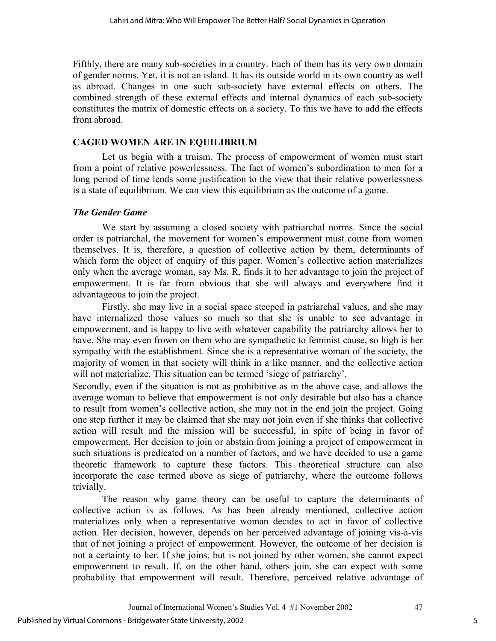Fifthly, there are many sub-societies in a country. Each of them has its very own domain of gender norms. Yet, it is not an island. It has its outside world in its own country as well as abroad. Changes in one such sub-society have external effects on others. The combined strength of these external effects and internal dynamics of each sub-society constitutes the matrix of domestic effects on a society. To this we have to add the effects from abroad.

## **CAGED WOMEN ARE IN EQUILIBRIUM**

Let us begin with a truism. The process of empowerment of women must start from a point of relative powerlessness. The fact of women's subordination to men for a long period of time lends some justification to the view that their relative powerlessness is a state of equilibrium. We can view this equilibrium as the outcome of a game.

## *The Gender Game*

We start by assuming a closed society with patriarchal norms. Since the social order is patriarchal, the movement for women's empowerment must come from women themselves. It is, therefore, a question of collective action by them, determinants of which form the object of enquiry of this paper. Women's collective action materializes only when the average woman, say Ms. R, finds it to her advantage to join the project of empowerment. It is far from obvious that she will always and everywhere find it advantageous to join the project.

Firstly, she may live in a social space steeped in patriarchal values, and she may have internalized those values so much so that she is unable to see advantage in empowerment, and is happy to live with whatever capability the patriarchy allows her to have. She may even frown on them who are sympathetic to feminist cause, so high is her sympathy with the establishment. Since she is a representative woman of the society, the majority of women in that society will think in a like manner, and the collective action will not materialize. This situation can be termed 'siege of patriarchy'.

Secondly, even if the situation is not as prohibitive as in the above case, and allows the average woman to believe that empowerment is not only desirable but also has a chance to result from women's collective action, she may not in the end join the project. Going one step further it may be claimed that she may not join even if she thinks that collective action will result and the mission will be successful, in spite of being in favor of empowerment. Her decision to join or abstain from joining a project of empowerment in such situations is predicated on a number of factors, and we have decided to use a game theoretic framework to capture these factors. This theoretical structure can also incorporate the case termed above as siege of patriarchy, where the outcome follows trivially.

The reason why game theory can be useful to capture the determinants of collective action is as follows. As has been already mentioned, collective action materializes only when a representative woman decides to act in favor of collective action. Her decision, however, depends on her perceived advantage of joining vis-à-vis that of not joining a project of empowerment. However, the outcome of her decision is not a certainty to her. If she joins, but is not joined by other women, she cannot expect empowerment to result. If, on the other hand, others join, she can expect with some probability that empowerment will result. Therefore, perceived relative advantage of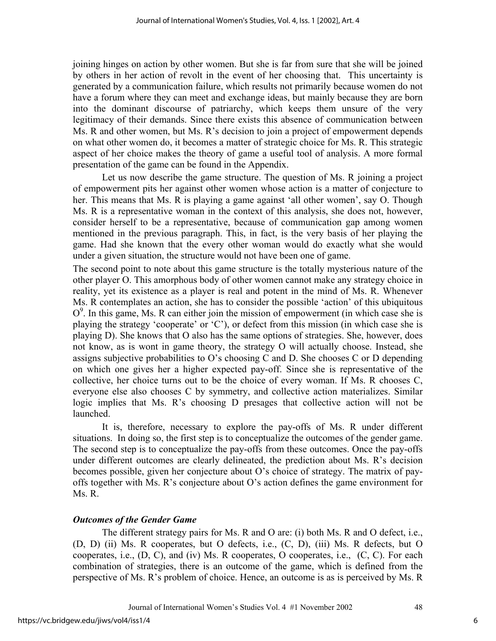joining hinges on action by other women. But she is far from sure that she will be joined by others in her action of revolt in the event of her choosing that. This uncertainty is generated by a communication failure, which results not primarily because women do not have a forum where they can meet and exchange ideas, but mainly because they are born into the dominant discourse of patriarchy, which keeps them unsure of the very legitimacy of their demands. Since there exists this absence of communication between Ms. R and other women, but Ms. R's decision to join a project of empowerment depends on what other women do, it becomes a matter of strategic choice for Ms. R. This strategic aspect of her choice makes the theory of game a useful tool of analysis. A more formal presentation of the game can be found in the Appendix.

Let us now describe the game structure. The question of Ms. R joining a project of empowerment pits her against other women whose action is a matter of conjecture to her. This means that Ms. R is playing a game against 'all other women', say O. Though Ms. R is a representative woman in the context of this analysis, she does not, however, consider herself to be a representative, because of communication gap among women mentioned in the previous paragraph. This, in fact, is the very basis of her playing the game. Had she known that the every other woman would do exactly what she would under a given situation, the structure would not have been one of game.

The second point to note about this game structure is the totally mysterious nature of the other player O. This amorphous body of other women cannot make any strategy choice in reality, yet its existence as a player is real and potent in the mind of Ms. R. Whenever Ms. R contemplates an action, she has to consider the possible 'action' of this ubiquitous  $O<sup>9</sup>$ . In this game, Ms. R can either join the mission of empowerment (in which case she is playing the strategy 'cooperate' or 'C'), or defect from this mission (in which case she is playing D). She knows that O also has the same options of strategies. She, however, does not know, as is wont in game theory, the strategy O will actually choose. Instead, she assigns subjective probabilities to O's choosing C and D. She chooses C or D depending on which one gives her a higher expected pay-off. Since she is representative of the collective, her choice turns out to be the choice of every woman. If Ms. R chooses C, everyone else also chooses C by symmetry, and collective action materializes. Similar logic implies that Ms. R's choosing D presages that collective action will not be launched.

It is, therefore, necessary to explore the pay-offs of Ms. R under different situations. In doing so, the first step is to conceptualize the outcomes of the gender game. The second step is to conceptualize the pay-offs from these outcomes. Once the pay-offs under different outcomes are clearly delineated, the prediction about Ms. R's decision becomes possible, given her conjecture about O's choice of strategy. The matrix of payoffs together with Ms. R's conjecture about O's action defines the game environment for Ms. R.

## *Outcomes of the Gender Game*

The different strategy pairs for Ms. R and O are: (i) both Ms. R and O defect, i.e., (D, D) (ii) Ms. R cooperates, but O defects, i.e., (C, D), (iii) Ms. R defects, but O cooperates, i.e.,  $(D, C)$ , and  $(iv)$  Ms. R cooperates, O cooperates, i.e.,  $(C, C)$ . For each combination of strategies, there is an outcome of the game, which is defined from the perspective of Ms. R's problem of choice. Hence, an outcome is as is perceived by Ms. R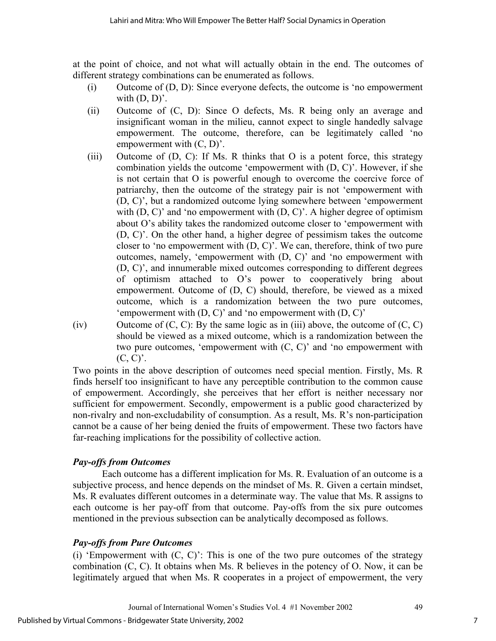at the point of choice, and not what will actually obtain in the end. The outcomes of different strategy combinations can be enumerated as follows.

- (i) Outcome of (D, D): Since everyone defects, the outcome is 'no empowerment with  $(D, D)$ '.
- (ii) Outcome of (C, D): Since O defects, Ms. R being only an average and insignificant woman in the milieu, cannot expect to single handedly salvage empowerment. The outcome, therefore, can be legitimately called 'no empowerment with (C, D)'.
- (iii) Outcome of (D, C): If Ms. R thinks that O is a potent force, this strategy combination yields the outcome 'empowerment with (D, C)'. However, if she is not certain that O is powerful enough to overcome the coercive force of patriarchy, then the outcome of the strategy pair is not 'empowerment with (D, C)', but a randomized outcome lying somewhere between 'empowerment with  $(D, C)'$  and 'no empowerment with  $(D, C)'$ . A higher degree of optimism about O's ability takes the randomized outcome closer to 'empowerment with (D, C)'. On the other hand, a higher degree of pessimism takes the outcome closer to 'no empowerment with (D, C)'. We can, therefore, think of two pure outcomes, namely, 'empowerment with (D, C)' and 'no empowerment with (D, C)', and innumerable mixed outcomes corresponding to different degrees of optimism attached to O's power to cooperatively bring about empowerment. Outcome of (D, C) should, therefore, be viewed as a mixed outcome, which is a randomization between the two pure outcomes, 'empowerment with (D, C)' and 'no empowerment with (D, C)'
- (iv) Outcome of  $(C, C)$ : By the same logic as in (iii) above, the outcome of  $(C, C)$ should be viewed as a mixed outcome, which is a randomization between the two pure outcomes, 'empowerment with  $(C, C)$ ' and 'no empowerment with  $(C, C)$ .

Two points in the above description of outcomes need special mention. Firstly, Ms. R finds herself too insignificant to have any perceptible contribution to the common cause of empowerment. Accordingly, she perceives that her effort is neither necessary nor sufficient for empowerment. Secondly, empowerment is a public good characterized by non-rivalry and non-excludability of consumption. As a result, Ms. R's non-participation cannot be a cause of her being denied the fruits of empowerment. These two factors have far-reaching implications for the possibility of collective action.

## *Pay-offs from Outcomes*

Each outcome has a different implication for Ms. R. Evaluation of an outcome is a subjective process, and hence depends on the mindset of Ms. R. Given a certain mindset, Ms. R evaluates different outcomes in a determinate way. The value that Ms. R assigns to each outcome is her pay-off from that outcome. Pay-offs from the six pure outcomes mentioned in the previous subsection can be analytically decomposed as follows.

# *Pay-offs from Pure Outcomes*

(i) 'Empowerment with  $(C, C)$ ': This is one of the two pure outcomes of the strategy combination (C, C). It obtains when Ms. R believes in the potency of O. Now, it can be legitimately argued that when Ms. R cooperates in a project of empowerment, the very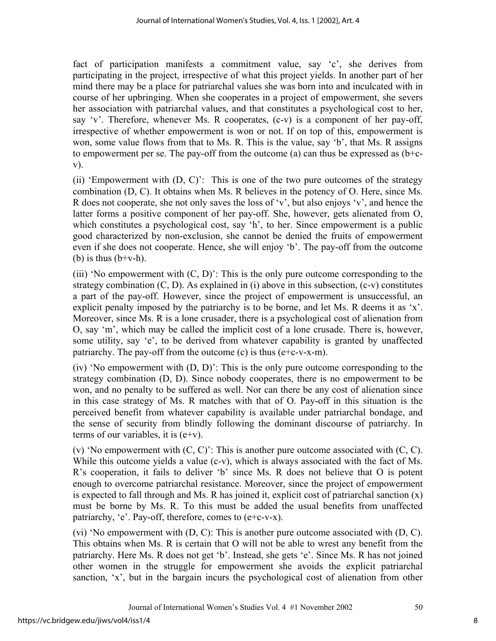fact of participation manifests a commitment value, say 'c', she derives from participating in the project, irrespective of what this project yields. In another part of her mind there may be a place for patriarchal values she was born into and inculcated with in course of her upbringing. When she cooperates in a project of empowerment, she severs her association with patriarchal values, and that constitutes a psychological cost to her, say 'v'. Therefore, whenever Ms. R cooperates, (c-v) is a component of her pay-off, irrespective of whether empowerment is won or not. If on top of this, empowerment is won, some value flows from that to Ms. R. This is the value, say 'b', that Ms. R assigns to empowerment per se. The pay-off from the outcome (a) can thus be expressed as (b+cv).

(ii) 'Empowerment with  $(D, C)$ ': This is one of the two pure outcomes of the strategy combination (D, C). It obtains when Ms. R believes in the potency of O. Here, since Ms. R does not cooperate, she not only saves the loss of 'v', but also enjoys 'v', and hence the latter forms a positive component of her pay-off. She, however, gets alienated from O, which constitutes a psychological cost, say 'h', to her. Since empowerment is a public good characterized by non-exclusion, she cannot be denied the fruits of empowerment even if she does not cooperate. Hence, she will enjoy 'b'. The pay-off from the outcome (b) is thus  $(b+v-h)$ .

(iii) 'No empowerment with  $(C, D)$ ': This is the only pure outcome corresponding to the strategy combination  $(C, D)$ . As explained in (i) above in this subsection,  $(c-v)$  constitutes a part of the pay-off. However, since the project of empowerment is unsuccessful, an explicit penalty imposed by the patriarchy is to be borne, and let Ms. R deems it as 'x'. Moreover, since Ms. R is a lone crusader, there is a psychological cost of alienation from O, say 'm', which may be called the implicit cost of a lone crusade. There is, however, some utility, say 'e', to be derived from whatever capability is granted by unaffected patriarchy. The pay-off from the outcome  $(c)$  is thus  $(e+c-v-x-m)$ .

(iv) 'No empowerment with (D, D)': This is the only pure outcome corresponding to the strategy combination (D, D). Since nobody cooperates, there is no empowerment to be won, and no penalty to be suffered as well. Nor can there be any cost of alienation since in this case strategy of Ms. R matches with that of O. Pay-off in this situation is the perceived benefit from whatever capability is available under patriarchal bondage, and the sense of security from blindly following the dominant discourse of patriarchy. In terms of our variables, it is  $(e+v)$ .

(v) 'No empowerment with  $(C, C)$ ': This is another pure outcome associated with  $(C, C)$ . While this outcome yields a value (c-v), which is always associated with the fact of Ms. R's cooperation, it fails to deliver 'b' since Ms. R does not believe that O is potent enough to overcome patriarchal resistance. Moreover, since the project of empowerment is expected to fall through and Ms. R has joined it, explicit cost of patriarchal sanction  $(x)$ must be borne by Ms. R. To this must be added the usual benefits from unaffected patriarchy, 'e'. Pay-off, therefore, comes to (e+c-v-x).

(vi) 'No empowerment with  $(D, C)$ : This is another pure outcome associated with  $(D, C)$ . This obtains when Ms. R is certain that O will not be able to wrest any benefit from the patriarchy. Here Ms. R does not get 'b'. Instead, she gets 'e'. Since Ms. R has not joined other women in the struggle for empowerment she avoids the explicit patriarchal sanction, 'x', but in the bargain incurs the psychological cost of alienation from other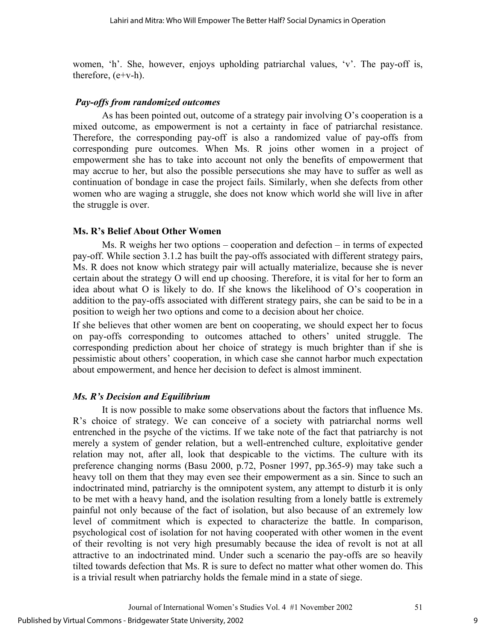women, 'h'. She, however, enjoys upholding patriarchal values, 'v'. The pay-off is, therefore, (e+v-h).

### *Pay-offs from randomized outcomes*

As has been pointed out, outcome of a strategy pair involving O's cooperation is a mixed outcome, as empowerment is not a certainty in face of patriarchal resistance. Therefore, the corresponding pay-off is also a randomized value of pay-offs from corresponding pure outcomes. When Ms. R joins other women in a project of empowerment she has to take into account not only the benefits of empowerment that may accrue to her, but also the possible persecutions she may have to suffer as well as continuation of bondage in case the project fails. Similarly, when she defects from other women who are waging a struggle, she does not know which world she will live in after the struggle is over.

## **Ms. R's Belief About Other Women**

Ms. R weighs her two options – cooperation and defection – in terms of expected pay-off. While section 3.1.2 has built the pay-offs associated with different strategy pairs, Ms. R does not know which strategy pair will actually materialize, because she is never certain about the strategy O will end up choosing. Therefore, it is vital for her to form an idea about what O is likely to do. If she knows the likelihood of O's cooperation in addition to the pay-offs associated with different strategy pairs, she can be said to be in a position to weigh her two options and come to a decision about her choice.

If she believes that other women are bent on cooperating, we should expect her to focus on pay-offs corresponding to outcomes attached to others' united struggle. The corresponding prediction about her choice of strategy is much brighter than if she is pessimistic about others' cooperation, in which case she cannot harbor much expectation about empowerment, and hence her decision to defect is almost imminent.

## *Ms. R's Decision and Equilibrium*

It is now possible to make some observations about the factors that influence Ms. R's choice of strategy. We can conceive of a society with patriarchal norms well entrenched in the psyche of the victims. If we take note of the fact that patriarchy is not merely a system of gender relation, but a well-entrenched culture, exploitative gender relation may not, after all, look that despicable to the victims. The culture with its preference changing norms (Basu 2000, p.72, Posner 1997, pp.365-9) may take such a heavy toll on them that they may even see their empowerment as a sin. Since to such an indoctrinated mind, patriarchy is the omnipotent system, any attempt to disturb it is only to be met with a heavy hand, and the isolation resulting from a lonely battle is extremely painful not only because of the fact of isolation, but also because of an extremely low level of commitment which is expected to characterize the battle. In comparison, psychological cost of isolation for not having cooperated with other women in the event of their revolting is not very high presumably because the idea of revolt is not at all attractive to an indoctrinated mind. Under such a scenario the pay-offs are so heavily tilted towards defection that Ms. R is sure to defect no matter what other women do. This is a trivial result when patriarchy holds the female mind in a state of siege.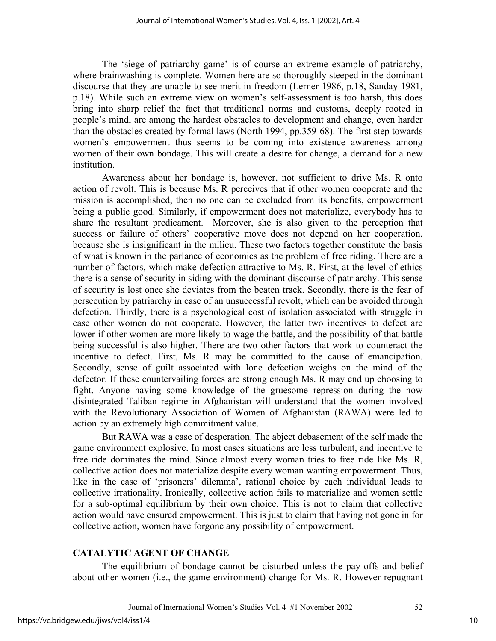The 'siege of patriarchy game' is of course an extreme example of patriarchy, where brainwashing is complete. Women here are so thoroughly steeped in the dominant discourse that they are unable to see merit in freedom (Lerner 1986, p.18, Sanday 1981, p.18). While such an extreme view on women's self-assessment is too harsh, this does bring into sharp relief the fact that traditional norms and customs, deeply rooted in people's mind, are among the hardest obstacles to development and change, even harder than the obstacles created by formal laws (North 1994, pp.359-68). The first step towards women's empowerment thus seems to be coming into existence awareness among women of their own bondage. This will create a desire for change, a demand for a new institution.

Awareness about her bondage is, however, not sufficient to drive Ms. R onto action of revolt. This is because Ms. R perceives that if other women cooperate and the mission is accomplished, then no one can be excluded from its benefits, empowerment being a public good. Similarly, if empowerment does not materialize, everybody has to share the resultant predicament. Moreover, she is also given to the perception that success or failure of others' cooperative move does not depend on her cooperation, because she is insignificant in the milieu. These two factors together constitute the basis of what is known in the parlance of economics as the problem of free riding. There are a number of factors, which make defection attractive to Ms. R. First, at the level of ethics there is a sense of security in siding with the dominant discourse of patriarchy. This sense of security is lost once she deviates from the beaten track. Secondly, there is the fear of persecution by patriarchy in case of an unsuccessful revolt, which can be avoided through defection. Thirdly, there is a psychological cost of isolation associated with struggle in case other women do not cooperate. However, the latter two incentives to defect are lower if other women are more likely to wage the battle, and the possibility of that battle being successful is also higher. There are two other factors that work to counteract the incentive to defect. First, Ms. R may be committed to the cause of emancipation. Secondly, sense of guilt associated with lone defection weighs on the mind of the defector. If these countervailing forces are strong enough Ms. R may end up choosing to fight. Anyone having some knowledge of the gruesome repression during the now disintegrated Taliban regime in Afghanistan will understand that the women involved with the Revolutionary Association of Women of Afghanistan (RAWA) were led to action by an extremely high commitment value.

But RAWA was a case of desperation. The abject debasement of the self made the game environment explosive. In most cases situations are less turbulent, and incentive to free ride dominates the mind. Since almost every woman tries to free ride like Ms. R, collective action does not materialize despite every woman wanting empowerment. Thus, like in the case of 'prisoners' dilemma', rational choice by each individual leads to collective irrationality. Ironically, collective action fails to materialize and women settle for a sub-optimal equilibrium by their own choice. This is not to claim that collective action would have ensured empowerment. This is just to claim that having not gone in for collective action, women have forgone any possibility of empowerment.

#### **CATALYTIC AGENT OF CHANGE**

The equilibrium of bondage cannot be disturbed unless the pay-offs and belief about other women (i.e., the game environment) change for Ms. R. However repugnant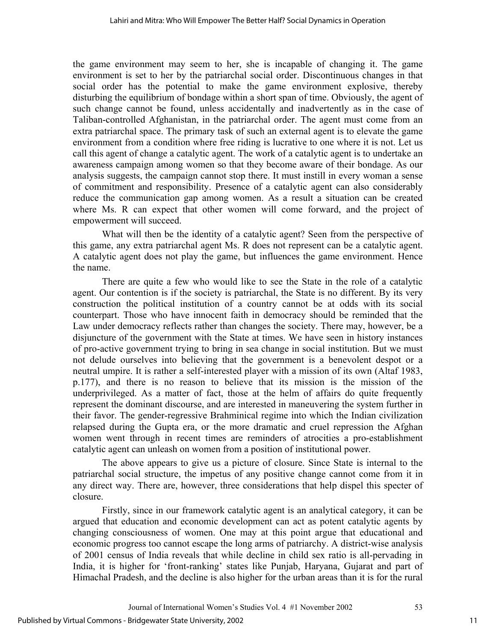the game environment may seem to her, she is incapable of changing it. The game environment is set to her by the patriarchal social order. Discontinuous changes in that social order has the potential to make the game environment explosive, thereby disturbing the equilibrium of bondage within a short span of time. Obviously, the agent of such change cannot be found, unless accidentally and inadvertently as in the case of Taliban-controlled Afghanistan, in the patriarchal order. The agent must come from an extra patriarchal space. The primary task of such an external agent is to elevate the game environment from a condition where free riding is lucrative to one where it is not. Let us call this agent of change a catalytic agent. The work of a catalytic agent is to undertake an awareness campaign among women so that they become aware of their bondage. As our analysis suggests, the campaign cannot stop there. It must instill in every woman a sense of commitment and responsibility. Presence of a catalytic agent can also considerably reduce the communication gap among women. As a result a situation can be created where Ms. R can expect that other women will come forward, and the project of empowerment will succeed.

What will then be the identity of a catalytic agent? Seen from the perspective of this game, any extra patriarchal agent Ms. R does not represent can be a catalytic agent. A catalytic agent does not play the game, but influences the game environment. Hence the name.

There are quite a few who would like to see the State in the role of a catalytic agent. Our contention is if the society is patriarchal, the State is no different. By its very construction the political institution of a country cannot be at odds with its social counterpart. Those who have innocent faith in democracy should be reminded that the Law under democracy reflects rather than changes the society. There may, however, be a disjuncture of the government with the State at times. We have seen in history instances of pro-active government trying to bring in sea change in social institution. But we must not delude ourselves into believing that the government is a benevolent despot or a neutral umpire. It is rather a self-interested player with a mission of its own (Altaf 1983, p.177), and there is no reason to believe that its mission is the mission of the underprivileged. As a matter of fact, those at the helm of affairs do quite frequently represent the dominant discourse, and are interested in maneuvering the system further in their favor. The gender-regressive Brahminical regime into which the Indian civilization relapsed during the Gupta era, or the more dramatic and cruel repression the Afghan women went through in recent times are reminders of atrocities a pro-establishment catalytic agent can unleash on women from a position of institutional power.

The above appears to give us a picture of closure. Since State is internal to the patriarchal social structure, the impetus of any positive change cannot come from it in any direct way. There are, however, three considerations that help dispel this specter of closure.

Firstly, since in our framework catalytic agent is an analytical category, it can be argued that education and economic development can act as potent catalytic agents by changing consciousness of women. One may at this point argue that educational and economic progress too cannot escape the long arms of patriarchy. A district-wise analysis of 2001 census of India reveals that while decline in child sex ratio is all-pervading in India, it is higher for 'front-ranking' states like Punjab, Haryana, Gujarat and part of Himachal Pradesh, and the decline is also higher for the urban areas than it is for the rural

11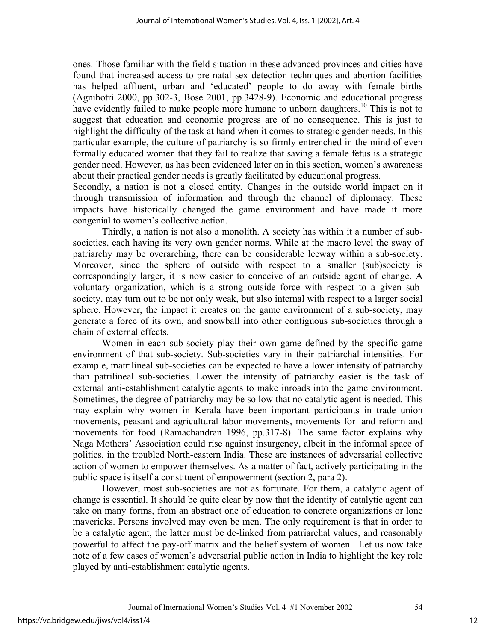ones. Those familiar with the field situation in these advanced provinces and cities have found that increased access to pre-natal sex detection techniques and abortion facilities has helped affluent, urban and 'educated' people to do away with female births (Agnihotri 2000, pp.302-3, Bose 2001, pp.3428-9). Economic and educational progress have evidently failed to make people more humane to unborn daughters.<sup>10</sup> This is not to suggest that education and economic progress are of no consequence. This is just to highlight the difficulty of the task at hand when it comes to strategic gender needs. In this particular example, the culture of patriarchy is so firmly entrenched in the mind of even formally educated women that they fail to realize that saving a female fetus is a strategic gender need. However, as has been evidenced later on in this section, women's awareness about their practical gender needs is greatly facilitated by educational progress.

Secondly, a nation is not a closed entity. Changes in the outside world impact on it through transmission of information and through the channel of diplomacy. These impacts have historically changed the game environment and have made it more congenial to women's collective action.

Thirdly, a nation is not also a monolith. A society has within it a number of subsocieties, each having its very own gender norms. While at the macro level the sway of patriarchy may be overarching, there can be considerable leeway within a sub-society. Moreover, since the sphere of outside with respect to a smaller (sub)society is correspondingly larger, it is now easier to conceive of an outside agent of change. A voluntary organization, which is a strong outside force with respect to a given subsociety, may turn out to be not only weak, but also internal with respect to a larger social sphere. However, the impact it creates on the game environment of a sub-society, may generate a force of its own, and snowball into other contiguous sub-societies through a chain of external effects.

Women in each sub-society play their own game defined by the specific game environment of that sub-society. Sub-societies vary in their patriarchal intensities. For example, matrilineal sub-societies can be expected to have a lower intensity of patriarchy than patrilineal sub-societies. Lower the intensity of patriarchy easier is the task of external anti-establishment catalytic agents to make inroads into the game environment. Sometimes, the degree of patriarchy may be so low that no catalytic agent is needed. This may explain why women in Kerala have been important participants in trade union movements, peasant and agricultural labor movements, movements for land reform and movements for food (Ramachandran 1996, pp.317-8). The same factor explains why Naga Mothers' Association could rise against insurgency, albeit in the informal space of politics, in the troubled North-eastern India. These are instances of adversarial collective action of women to empower themselves. As a matter of fact, actively participating in the public space is itself a constituent of empowerment (section 2, para 2).

However, most sub-societies are not as fortunate. For them, a catalytic agent of change is essential. It should be quite clear by now that the identity of catalytic agent can take on many forms, from an abstract one of education to concrete organizations or lone mavericks. Persons involved may even be men. The only requirement is that in order to be a catalytic agent, the latter must be de-linked from patriarchal values, and reasonably powerful to affect the pay-off matrix and the belief system of women. Let us now take note of a few cases of women's adversarial public action in India to highlight the key role played by anti-establishment catalytic agents.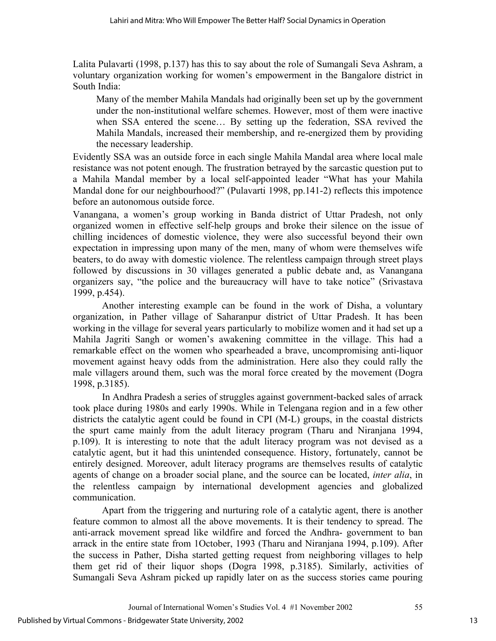Lalita Pulavarti (1998, p.137) has this to say about the role of Sumangali Seva Ashram, a voluntary organization working for women's empowerment in the Bangalore district in South India:

Many of the member Mahila Mandals had originally been set up by the government under the non-institutional welfare schemes. However, most of them were inactive when SSA entered the scene… By setting up the federation, SSA revived the Mahila Mandals, increased their membership, and re-energized them by providing the necessary leadership.

Evidently SSA was an outside force in each single Mahila Mandal area where local male resistance was not potent enough. The frustration betrayed by the sarcastic question put to a Mahila Mandal member by a local self-appointed leader "What has your Mahila Mandal done for our neighbourhood?" (Pulavarti 1998, pp.141-2) reflects this impotence before an autonomous outside force.

Vanangana, a women's group working in Banda district of Uttar Pradesh, not only organized women in effective self-help groups and broke their silence on the issue of chilling incidences of domestic violence, they were also successful beyond their own expectation in impressing upon many of the men, many of whom were themselves wife beaters, to do away with domestic violence. The relentless campaign through street plays followed by discussions in 30 villages generated a public debate and, as Vanangana organizers say, "the police and the bureaucracy will have to take notice" (Srivastava 1999, p.454).

Another interesting example can be found in the work of Disha, a voluntary organization, in Pather village of Saharanpur district of Uttar Pradesh. It has been working in the village for several years particularly to mobilize women and it had set up a Mahila Jagriti Sangh or women's awakening committee in the village. This had a remarkable effect on the women who spearheaded a brave, uncompromising anti-liquor movement against heavy odds from the administration. Here also they could rally the male villagers around them, such was the moral force created by the movement (Dogra 1998, p.3185).

In Andhra Pradesh a series of struggles against government-backed sales of arrack took place during 1980s and early 1990s. While in Telengana region and in a few other districts the catalytic agent could be found in CPI (M-L) groups, in the coastal districts the spurt came mainly from the adult literacy program (Tharu and Niranjana 1994, p.109). It is interesting to note that the adult literacy program was not devised as a catalytic agent, but it had this unintended consequence. History, fortunately, cannot be entirely designed. Moreover, adult literacy programs are themselves results of catalytic agents of change on a broader social plane, and the source can be located, *inter alia*, in the relentless campaign by international development agencies and globalized communication.

Apart from the triggering and nurturing role of a catalytic agent, there is another feature common to almost all the above movements. It is their tendency to spread. The anti-arrack movement spread like wildfire and forced the Andhra- government to ban arrack in the entire state from 1October, 1993 (Tharu and Niranjana 1994, p.109). After the success in Pather, Disha started getting request from neighboring villages to help them get rid of their liquor shops (Dogra 1998, p.3185). Similarly, activities of Sumangali Seva Ashram picked up rapidly later on as the success stories came pouring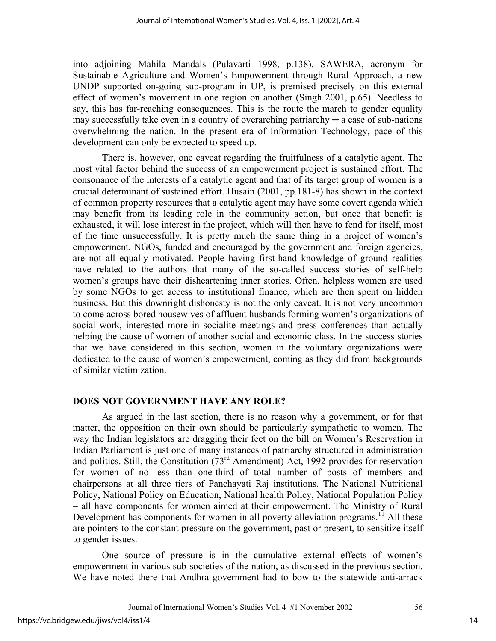into adjoining Mahila Mandals (Pulavarti 1998, p.138). SAWERA, acronym for Sustainable Agriculture and Women's Empowerment through Rural Approach, a new UNDP supported on-going sub-program in UP, is premised precisely on this external effect of women's movement in one region on another (Singh 2001, p.65). Needless to say, this has far-reaching consequences. This is the route the march to gender equality may successfully take even in a country of overarching patriarchy  $-$  a case of sub-nations overwhelming the nation. In the present era of Information Technology, pace of this development can only be expected to speed up.

There is, however, one caveat regarding the fruitfulness of a catalytic agent. The most vital factor behind the success of an empowerment project is sustained effort. The consonance of the interests of a catalytic agent and that of its target group of women is a crucial determinant of sustained effort. Husain (2001, pp.181-8) has shown in the context of common property resources that a catalytic agent may have some covert agenda which may benefit from its leading role in the community action, but once that benefit is exhausted, it will lose interest in the project, which will then have to fend for itself, most of the time unsuccessfully. It is pretty much the same thing in a project of women's empowerment. NGOs, funded and encouraged by the government and foreign agencies, are not all equally motivated. People having first-hand knowledge of ground realities have related to the authors that many of the so-called success stories of self-help women's groups have their disheartening inner stories. Often, helpless women are used by some NGOs to get access to institutional finance, which are then spent on hidden business. But this downright dishonesty is not the only caveat. It is not very uncommon to come across bored housewives of affluent husbands forming women's organizations of social work, interested more in socialite meetings and press conferences than actually helping the cause of women of another social and economic class. In the success stories that we have considered in this section, women in the voluntary organizations were dedicated to the cause of women's empowerment, coming as they did from backgrounds of similar victimization.

### **DOES NOT GOVERNMENT HAVE ANY ROLE?**

As argued in the last section, there is no reason why a government, or for that matter, the opposition on their own should be particularly sympathetic to women. The way the Indian legislators are dragging their feet on the bill on Women's Reservation in Indian Parliament is just one of many instances of patriarchy structured in administration and politics. Still, the Constitution  $(73<sup>rd</sup>$  Amendment) Act, 1992 provides for reservation for women of no less than one-third of total number of posts of members and chairpersons at all three tiers of Panchayati Raj institutions. The National Nutritional Policy, National Policy on Education, National health Policy, National Population Policy – all have components for women aimed at their empowerment. The Ministry of Rural Development has components for women in all poverty alleviation programs.<sup>11</sup> All these are pointers to the constant pressure on the government, past or present, to sensitize itself to gender issues.

One source of pressure is in the cumulative external effects of women's empowerment in various sub-societies of the nation, as discussed in the previous section. We have noted there that Andhra government had to bow to the statewide anti-arrack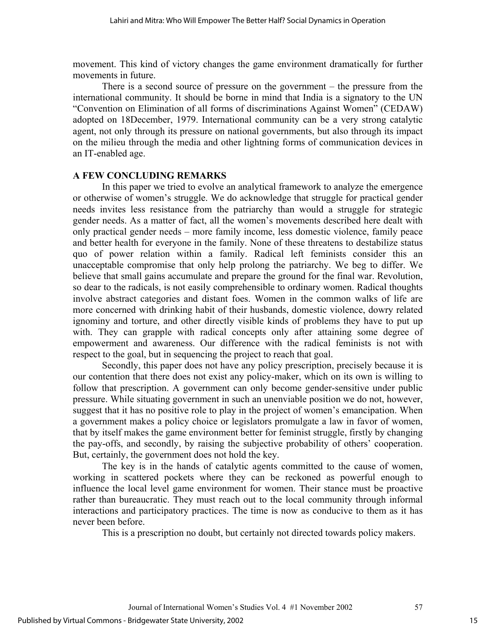movement. This kind of victory changes the game environment dramatically for further movements in future.

There is a second source of pressure on the government – the pressure from the international community. It should be borne in mind that India is a signatory to the UN "Convention on Elimination of all forms of discriminations Against Women" (CEDAW) adopted on 18December, 1979. International community can be a very strong catalytic agent, not only through its pressure on national governments, but also through its impact on the milieu through the media and other lightning forms of communication devices in an IT-enabled age.

#### **A FEW CONCLUDING REMARKS**

In this paper we tried to evolve an analytical framework to analyze the emergence or otherwise of women's struggle. We do acknowledge that struggle for practical gender needs invites less resistance from the patriarchy than would a struggle for strategic gender needs. As a matter of fact, all the women's movements described here dealt with only practical gender needs – more family income, less domestic violence, family peace and better health for everyone in the family. None of these threatens to destabilize status quo of power relation within a family. Radical left feminists consider this an unacceptable compromise that only help prolong the patriarchy. We beg to differ. We believe that small gains accumulate and prepare the ground for the final war. Revolution, so dear to the radicals, is not easily comprehensible to ordinary women. Radical thoughts involve abstract categories and distant foes. Women in the common walks of life are more concerned with drinking habit of their husbands, domestic violence, dowry related ignominy and torture, and other directly visible kinds of problems they have to put up with. They can grapple with radical concepts only after attaining some degree of empowerment and awareness. Our difference with the radical feminists is not with respect to the goal, but in sequencing the project to reach that goal.

Secondly, this paper does not have any policy prescription, precisely because it is our contention that there does not exist any policy-maker, which on its own is willing to follow that prescription. A government can only become gender-sensitive under public pressure. While situating government in such an unenviable position we do not, however, suggest that it has no positive role to play in the project of women's emancipation. When a government makes a policy choice or legislators promulgate a law in favor of women, that by itself makes the game environment better for feminist struggle, firstly by changing the pay-offs, and secondly, by raising the subjective probability of others' cooperation. But, certainly, the government does not hold the key.

The key is in the hands of catalytic agents committed to the cause of women, working in scattered pockets where they can be reckoned as powerful enough to influence the local level game environment for women. Their stance must be proactive rather than bureaucratic. They must reach out to the local community through informal interactions and participatory practices. The time is now as conducive to them as it has never been before.

This is a prescription no doubt, but certainly not directed towards policy makers.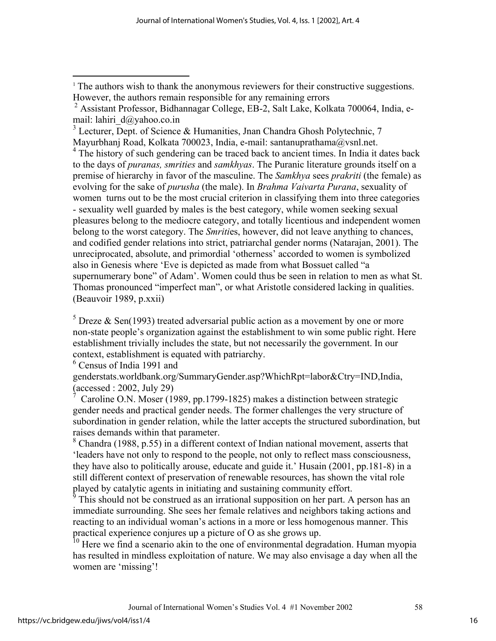<sup>3</sup> Lecturer, Dept. of Science & Humanities, Jnan Chandra Ghosh Polytechnic, 7 Mayurbhanj Road, Kolkata 700023, India, e-mail: santanuprathama@vsnl.net.

<sup>4</sup> The history of such gendering can be traced back to ancient times. In India it dates back to the days of *puranas, smrities* and *samkhyas*. The Puranic literature grounds itself on a premise of hierarchy in favor of the masculine. The *Samkhya* sees *prakriti* (the female) as evolving for the sake of *purusha* (the male). In *Brahma Vaivarta Purana*, sexuality of women turns out to be the most crucial criterion in classifying them into three categories - sexuality well guarded by males is the best category, while women seeking sexual pleasures belong to the mediocre category, and totally licentious and independent women belong to the worst category. The *Smriti*es, however, did not leave anything to chances, and codified gender relations into strict, patriarchal gender norms (Natarajan, 2001). The unreciprocated, absolute, and primordial 'otherness' accorded to women is symbolized also in Genesis where 'Eve is depicted as made from what Bossuet called "a supernumerary bone" of Adam'. Women could thus be seen in relation to men as what St. Thomas pronounced "imperfect man", or what Aristotle considered lacking in qualities. (Beauvoir 1989, p.xxii)

<sup>5</sup> Dreze & Sen(1993) treated adversarial public action as a movement by one or more non-state people's organization against the establishment to win some public right. Here establishment trivially includes the state, but not necessarily the government. In our context, establishment is equated with patriarchy.

6 Census of India 1991 and

 $\overline{a}$ 

genderstats.worldbank.org/SummaryGender.asp?WhichRpt=labor&Ctry=IND,India, (accessed : 2002, July 29)

7 Caroline O.N. Moser (1989, pp.1799-1825) makes a distinction between strategic gender needs and practical gender needs. The former challenges the very structure of subordination in gender relation, while the latter accepts the structured subordination, but raises demands within that parameter.

8 Chandra (1988, p.55) in a different context of Indian national movement, asserts that 'leaders have not only to respond to the people, not only to reflect mass consciousness, they have also to politically arouse, educate and guide it.' Husain (2001, pp.181-8) in a still different context of preservation of renewable resources, has shown the vital role played by catalytic agents in initiating and sustaining community effort.

9 This should not be construed as an irrational supposition on her part. A person has an immediate surrounding. She sees her female relatives and neighbors taking actions and reacting to an individual woman's actions in a more or less homogenous manner. This practical experience conjures up a picture of O as she grows up.

<sup>10</sup> Here we find a scenario akin to the one of environmental degradation. Human myopia has resulted in mindless exploitation of nature. We may also envisage a day when all the women are 'missing'!

<sup>&</sup>lt;sup>1</sup> The authors wish to thank the anonymous reviewers for their constructive suggestions. However, the authors remain responsible for any remaining errors

<sup>&</sup>lt;sup>2</sup> Assistant Professor, Bidhannagar College, EB-2, Salt Lake, Kolkata 700064, India, email: lahiri\_d@yahoo.co.in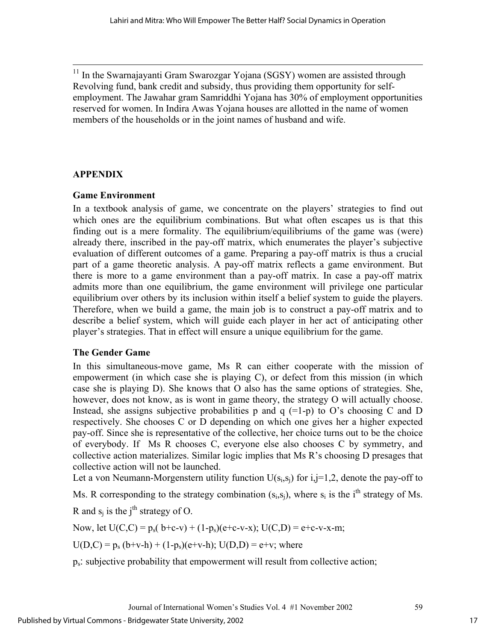<sup>11</sup> In the Swarnajayanti Gram Swarozgar Yojana (SGSY) women are assisted through Revolving fund, bank credit and subsidy, thus providing them opportunity for selfemployment. The Jawahar gram Samriddhi Yojana has 30% of employment opportunities reserved for women. In Indira Awas Yojana houses are allotted in the name of women members of the households or in the joint names of husband and wife.

# **APPENDIX**

## **Game Environment**

In a textbook analysis of game, we concentrate on the players' strategies to find out which ones are the equilibrium combinations. But what often escapes us is that this finding out is a mere formality. The equilibrium/equilibriums of the game was (were) already there, inscribed in the pay-off matrix, which enumerates the player's subjective evaluation of different outcomes of a game. Preparing a pay-off matrix is thus a crucial part of a game theoretic analysis. A pay-off matrix reflects a game environment. But there is more to a game environment than a pay-off matrix. In case a pay-off matrix admits more than one equilibrium, the game environment will privilege one particular equilibrium over others by its inclusion within itself a belief system to guide the players. Therefore, when we build a game, the main job is to construct a pay-off matrix and to describe a belief system, which will guide each player in her act of anticipating other player's strategies. That in effect will ensure a unique equilibrium for the game.

# **The Gender Game**

In this simultaneous-move game, Ms R can either cooperate with the mission of empowerment (in which case she is playing C), or defect from this mission (in which case she is playing D). She knows that O also has the same options of strategies. She, however, does not know, as is wont in game theory, the strategy O will actually choose. Instead, she assigns subjective probabilities p and  $q =1-p$  to O's choosing C and D respectively. She chooses C or D depending on which one gives her a higher expected pay-off. Since she is representative of the collective, her choice turns out to be the choice of everybody. If Ms R chooses C, everyone else also chooses C by symmetry, and collective action materializes. Similar logic implies that Ms R's choosing D presages that collective action will not be launched.

Let a von Neumann-Morgenstern utility function  $U(s_i,s_i)$  for  $i,j=1,2$ , denote the pay-off to

Ms. R corresponding to the strategy combination  $(s_i, s_i)$ , where  $s_i$  is the i<sup>th</sup> strategy of Ms.

R and  $s_i$  is the j<sup>th</sup> strategy of O.

Now, let  $U(C, C) = p_s(b+c-v) + (1-p_s)(e+c-v-x); U(C, D) = e+c-v-x-m;$ 

 $U(D,C) = p_s (b+v-h) + (1-p_s)(e+v-h); U(D,D) = e+v;$  where

ps: subjective probability that empowerment will result from collective action;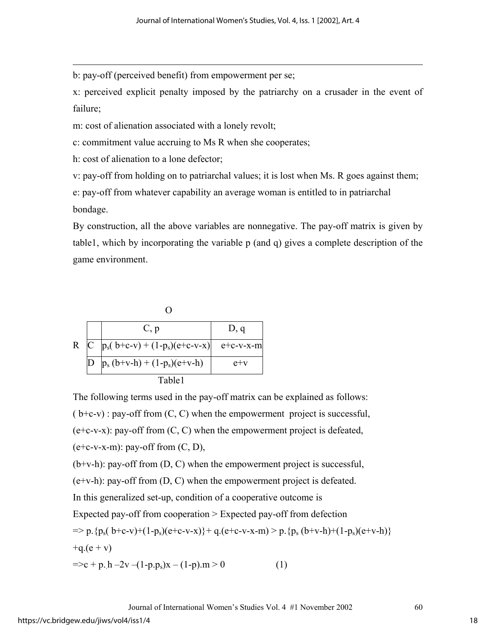b: pay-off (perceived benefit) from empowerment per se;

x: perceived explicit penalty imposed by the patriarchy on a crusader in the event of failure;

m: cost of alienation associated with a lonely revolt;

c: commitment value accruing to Ms R when she cooperates;

h: cost of alienation to a lone defector;

 $\overline{a}$ 

v: pay-off from holding on to patriarchal values; it is lost when Ms. R goes against them;

e: pay-off from whatever capability an average woman is entitled to in patriarchal bondage.

By construction, all the above variables are nonnegative. The pay-off matrix is given by table1, which by incorporating the variable p (and q) gives a complete description of the game environment.



The following terms used in the pay-off matrix can be explained as follows:  $(b+c-v)$ : pay-off from  $(C, C)$  when the empowerment project is successful,  $(e+c-v-x)$ : pay-off from  $(C, C)$  when the empowerment project is defeated,  $(e+c-v-x-m)$ : pay-off from  $(C, D)$ ,  $(b+v-h)$ : pay-off from  $(D, C)$  when the empowerment project is successful,

(e+v-h): pay-off from (D, C) when the empowerment project is defeated.

In this generalized set-up, condition of a cooperative outcome is

Expected pay-off from cooperation > Expected pay-off from defection

$$
= p.\{p_s(b+c-v)+(1-p_s)(e+c-v-x)\} + q.(e+c-v-x-m) > p.\{p_s(b+v-h)+(1-p_s)(e+v-h)\} + q.(e+v)
$$

$$
=>c + p.h - 2v - (1-p.p_s)x - (1-p).m > 0
$$
 (1)

Journal of International Women's Studies Vol. 4 #1 November 2002 60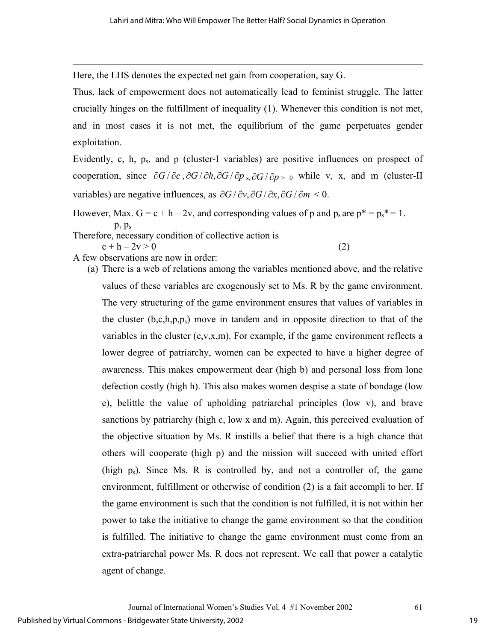Here, the LHS denotes the expected net gain from cooperation, say G.

Thus, lack of empowerment does not automatically lead to feminist struggle. The latter crucially hinges on the fulfillment of inequality (1). Whenever this condition is not met, and in most cases it is not met, the equilibrium of the game perpetuates gender exploitation.

Evidently, c, h,  $p_s$ , and  $p$  (cluster-I variables) are positive influences on prospect of cooperation, since  $\partial G/\partial c$ ,  $\partial G/\partial h$ ,  $\partial G/\partial p$ <sub>s</sub>,  $\partial G/\partial p$  > 0 while v, x, and m (cluster-II variables) are negative influences, as  $\partial G / \partial v$ ,  $\partial G / \partial x$ ,  $\partial G / \partial m$  < 0.

However, Max.  $G = c + h - 2v$ , and corresponding values of p and  $p_s$  are  $p^* = p_s^* = 1$ . p, ps Therefore, necessary condition of collective action is

 $c + h - 2v > 0$  (2)

 $\overline{a}$ 

A few observations are now in order:

(a) There is a web of relations among the variables mentioned above, and the relative values of these variables are exogenously set to Ms. R by the game environment. The very structuring of the game environment ensures that values of variables in the cluster  $(b, c, h, p, p_s)$  move in tandem and in opposite direction to that of the variables in the cluster (e,v,x,m). For example, if the game environment reflects a lower degree of patriarchy, women can be expected to have a higher degree of awareness. This makes empowerment dear (high b) and personal loss from lone defection costly (high h). This also makes women despise a state of bondage (low e), belittle the value of upholding patriarchal principles (low v), and brave sanctions by patriarchy (high c, low x and m). Again, this perceived evaluation of the objective situation by Ms. R instills a belief that there is a high chance that others will cooperate (high p) and the mission will succeed with united effort (high  $p_s$ ). Since Ms. R is controlled by, and not a controller of, the game environment, fulfillment or otherwise of condition (2) is a fait accompli to her. If the game environment is such that the condition is not fulfilled, it is not within her power to take the initiative to change the game environment so that the condition is fulfilled. The initiative to change the game environment must come from an extra-patriarchal power Ms. R does not represent. We call that power a catalytic agent of change.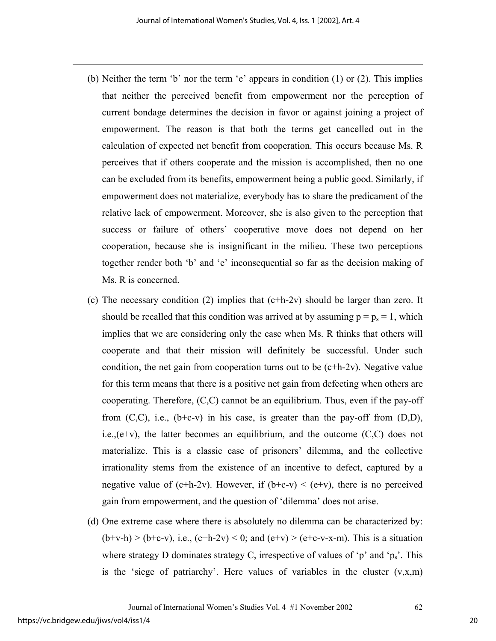- (b) Neither the term 'b' nor the term 'e' appears in condition (1) or (2). This implies that neither the perceived benefit from empowerment nor the perception of current bondage determines the decision in favor or against joining a project of empowerment. The reason is that both the terms get cancelled out in the calculation of expected net benefit from cooperation. This occurs because Ms. R perceives that if others cooperate and the mission is accomplished, then no one can be excluded from its benefits, empowerment being a public good. Similarly, if empowerment does not materialize, everybody has to share the predicament of the relative lack of empowerment. Moreover, she is also given to the perception that success or failure of others' cooperative move does not depend on her cooperation, because she is insignificant in the milieu. These two perceptions together render both 'b' and 'e' inconsequential so far as the decision making of Ms. R is concerned.
- (c) The necessary condition (2) implies that  $(c+h-2v)$  should be larger than zero. It should be recalled that this condition was arrived at by assuming  $p = p_s = 1$ , which implies that we are considering only the case when Ms. R thinks that others will cooperate and that their mission will definitely be successful. Under such condition, the net gain from cooperation turns out to be  $(c+h-2v)$ . Negative value for this term means that there is a positive net gain from defecting when others are cooperating. Therefore, (C,C) cannot be an equilibrium. Thus, even if the pay-off from  $(C, C)$ , i.e.,  $(b+c-v)$  in his case, is greater than the pay-off from  $(D,D)$ , i.e., $(e+v)$ , the latter becomes an equilibrium, and the outcome  $(C, C)$  does not materialize. This is a classic case of prisoners' dilemma, and the collective irrationality stems from the existence of an incentive to defect, captured by a negative value of (c+h-2v). However, if  $(b+c-v) < (e+v)$ , there is no perceived gain from empowerment, and the question of 'dilemma' does not arise.
- (d) One extreme case where there is absolutely no dilemma can be characterized by:  $(b+v-h) > (b+c-v)$ , i.e.,  $(c+h-2v) < 0$ ; and  $(e+v) > (e+c-v-x-m)$ . This is a situation where strategy D dominates strategy C, irrespective of values of 'p' and ' $p_s$ '. This is the 'siege of patriarchy'. Here values of variables in the cluster  $(v, x, m)$

 $\overline{a}$ 

20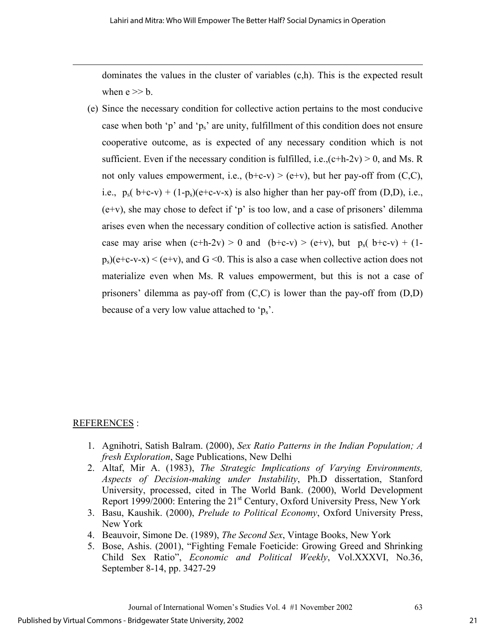dominates the values in the cluster of variables (c,h). This is the expected result when  $e \gg b$ .

(e) Since the necessary condition for collective action pertains to the most conducive case when both 'p' and 'p<sub>s</sub>' are unity, fulfillment of this condition does not ensure cooperative outcome, as is expected of any necessary condition which is not sufficient. Even if the necessary condition is fulfilled, i.e., $(c+h-2v) > 0$ , and Ms. R not only values empowerment, i.e.,  $(b+c-v) > (e+v)$ , but her pay-off from  $(C,C)$ , i.e.,  $p_s(b+c-v) + (1-p_s)(e+c-v-x)$  is also higher than her pay-off from (D,D), i.e., (e+v), she may chose to defect if 'p' is too low, and a case of prisoners' dilemma arises even when the necessary condition of collective action is satisfied. Another case may arise when  $(c+h-2v) > 0$  and  $(b+c-v) > (e+v)$ , but  $p_s(b+c-v) + (1-e-v)$  $p_s$ )(e+c-v-x) < (e+v), and G <0. This is also a case when collective action does not materialize even when Ms. R values empowerment, but this is not a case of prisoners' dilemma as pay-off from  $(C, C)$  is lower than the pay-off from  $(D, D)$ because of a very low value attached to ' $p_s$ '.

## REFERENCES :

 $\overline{a}$ 

- 1. Agnihotri, Satish Balram. (2000), *Sex Ratio Patterns in the Indian Population; A fresh Exploration*, Sage Publications, New Delhi
- 2. Altaf, Mir A. (1983), *The Strategic Implications of Varying Environments, Aspects of Decision-making under Instability*, Ph.D dissertation, Stanford University, processed, cited in The World Bank. (2000), World Development Report 1999/2000: Entering the  $21<sup>st</sup>$  Century, Oxford University Press, New York
- 3. Basu, Kaushik. (2000), *Prelude to Political Economy*, Oxford University Press, New York
- 4. Beauvoir, Simone De. (1989), *The Second Sex*, Vintage Books, New York
- 5. Bose, Ashis. (2001), "Fighting Female Foeticide: Growing Greed and Shrinking Child Sex Ratio", *Economic and Political Weekly*, Vol.XXXVI, No.36, September 8-14, pp. 3427-29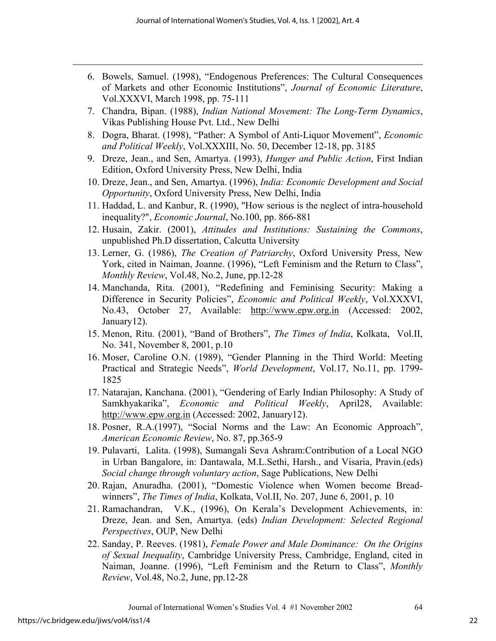- 6. Bowels, Samuel. (1998), "Endogenous Preferences: The Cultural Consequences of Markets and other Economic Institutions", *Journal of Economic Literature*, Vol.XXXVI, March 1998, pp. 75-111
- 7. Chandra, Bipan. (1988), *Indian National Movement: The Long-Term Dynamics*, Vikas Publishing House Pvt. Ltd., New Delhi
- 8. Dogra, Bharat. (1998), "Pather: A Symbol of Anti-Liquor Movement", *Economic and Political Weekly*, Vol.XXXIII, No. 50, December 12-18, pp. 3185
- 9. Dreze, Jean., and Sen, Amartya. (1993), *Hunger and Public Action*, First Indian Edition, Oxford University Press, New Delhi, India
- 10. Dreze, Jean., and Sen, Amartya. (1996), *India: Economic Development and Social Opportunity*, Oxford University Press, New Delhi, India
- 11. Haddad, L. and Kanbur, R. (1990), "How serious is the neglect of intra-household inequality?", *Economic Journal*, No.100, pp. 866-881
- 12. Husain, Zakir. (2001), *Attitudes and Institutions: Sustaining the Commons*, unpublished Ph.D dissertation, Calcutta University
- 13. Lerner, G. (1986), *The Creation of Patriarchy*, Oxford University Press, New York, cited in Naiman, Joanne. (1996), "Left Feminism and the Return to Class", *Monthly Review*, Vol.48, No.2, June, pp.12-28
- 14. Manchanda, Rita. (2001), "Redefining and Feminising Security: Making a Difference in Security Policies", *Economic and Political Weekly*, Vol.XXXVI, No.43, October 27, Available: http://www.epw.org.in (Accessed: 2002, January12).
- 15. Menon, Ritu. (2001), "Band of Brothers", *The Times of India*, Kolkata, Vol.II, No. 341, November 8, 2001, p.10
- 16. Moser, Caroline O.N. (1989), "Gender Planning in the Third World: Meeting Practical and Strategic Needs", *World Development*, Vol.17, No.11, pp. 1799- 1825
- 17. Natarajan, Kanchana. (2001), "Gendering of Early Indian Philosophy: A Study of Samkhyakarika", *Economic and Political Weekly*, April28, Available: http://www.epw.org.in (Accessed: 2002, January12).
- 18. Posner, R.A.(1997), "Social Norms and the Law: An Economic Approach", *American Economic Review*, No. 87, pp.365-9
- 19. Pulavarti, Lalita. (1998), Sumangali Seva Ashram:Contribution of a Local NGO in Urban Bangalore, in: Dantawala, M.L.Sethi, Harsh., and Visaria, Pravin.(eds) *Social change through voluntary action*, Sage Publications, New Delhi
- 20. Rajan, Anuradha. (2001), "Domestic Violence when Women become Breadwinners", *The Times of India*, Kolkata, Vol.II, No. 207, June 6, 2001, p. 10
- 21. Ramachandran, V.K., (1996), On Kerala's Development Achievements, in: Dreze, Jean. and Sen, Amartya. (eds) *Indian Development: Selected Regional Perspectives*, OUP, New Delhi
- 22. Sanday, P. Reeves. (1981), *Female Power and Male Dominance: On the Origins of Sexual Inequality*, Cambridge University Press, Cambridge, England, cited in Naiman, Joanne. (1996), "Left Feminism and the Return to Class", *Monthly Review*, Vol.48, No.2, June, pp.12-28

 $\overline{a}$